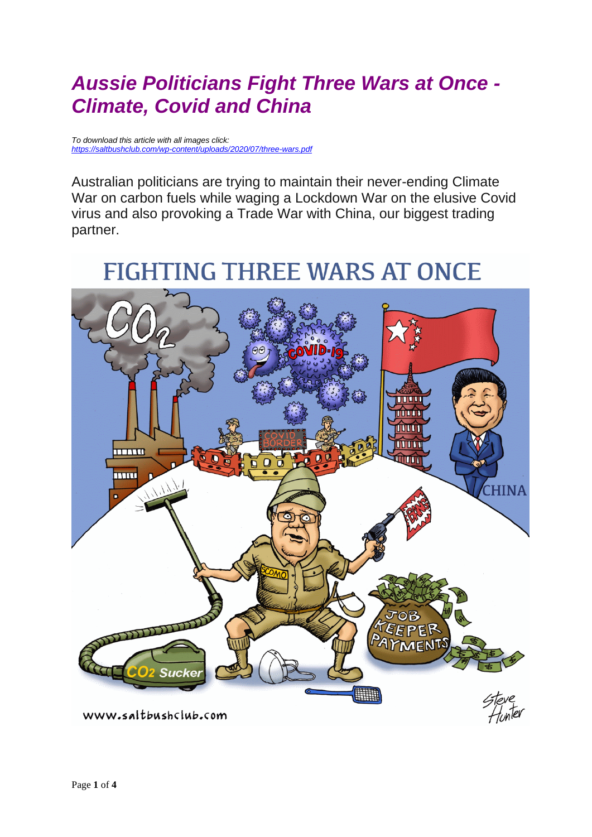## *Aussie Politicians Fight Three Wars at Once - Climate, Covid and China*

*To download this article with all images click: <https://saltbushclub.com/wp-content/uploads/2020/07/three-wars.pdf>*

Australian politicians are trying to maintain their never-ending Climate War on carbon fuels while waging a Lockdown War on the elusive Covid virus and also provoking a Trade War with China, our biggest trading partner.

## **FIGHTING THREE WARS AT ONCE**

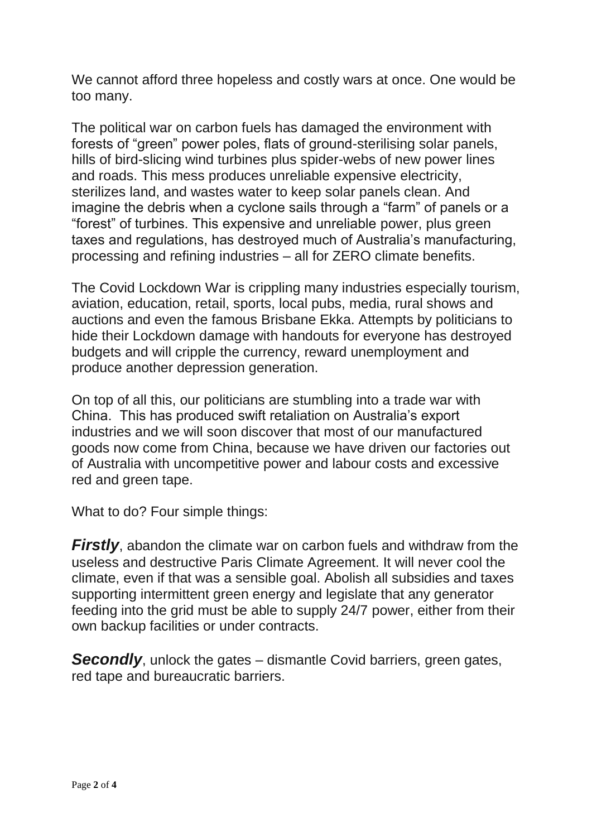We cannot afford three hopeless and costly wars at once. One would be too many.

The political war on carbon fuels has damaged the environment with forests of "green" power poles, flats of ground-sterilising solar panels, hills of bird-slicing wind turbines plus spider-webs of new power lines and roads. This mess produces unreliable expensive electricity, sterilizes land, and wastes water to keep solar panels clean. And imagine the debris when a cyclone sails through a "farm" of panels or a "forest" of turbines. This expensive and unreliable power, plus green taxes and regulations, has destroyed much of Australia's manufacturing, processing and refining industries – all for ZERO climate benefits.

The Covid Lockdown War is crippling many industries especially tourism, aviation, education, retail, sports, local pubs, media, rural shows and auctions and even the famous Brisbane Ekka. Attempts by politicians to hide their Lockdown damage with handouts for everyone has destroyed budgets and will cripple the currency, reward unemployment and produce another depression generation.

On top of all this, our politicians are stumbling into a trade war with China. This has produced swift retaliation on Australia's export industries and we will soon discover that most of our manufactured goods now come from China, because we have driven our factories out of Australia with uncompetitive power and labour costs and excessive red and green tape.

What to do? Four simple things:

*Firstly*, abandon the climate war on carbon fuels and withdraw from the useless and destructive Paris Climate Agreement. It will never cool the climate, even if that was a sensible goal. Abolish all subsidies and taxes supporting intermittent green energy and legislate that any generator feeding into the grid must be able to supply 24/7 power, either from their own backup facilities or under contracts.

**Secondly**, unlock the gates – dismantle Covid barriers, green gates, red tape and bureaucratic barriers.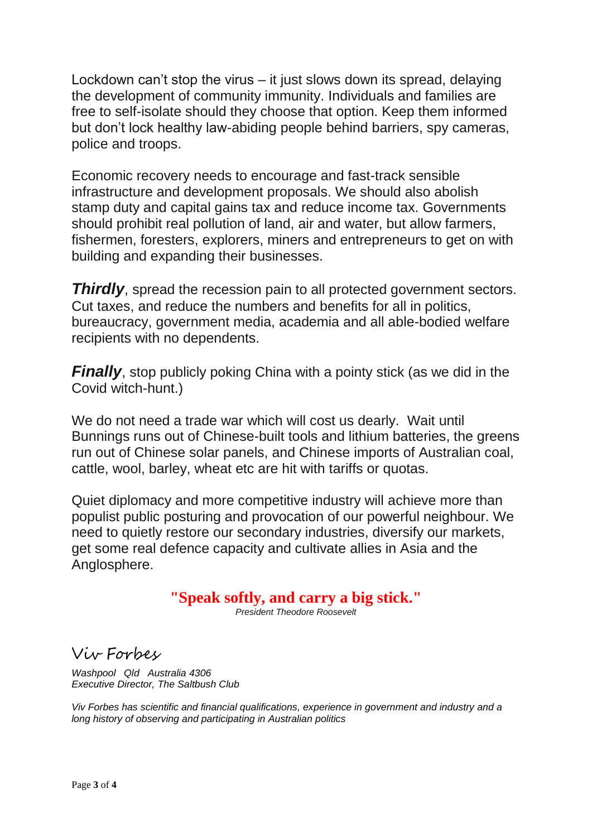Lockdown can't stop the virus – it just slows down its spread, delaying the development of community immunity. Individuals and families are free to self-isolate should they choose that option. Keep them informed but don't lock healthy law-abiding people behind barriers, spy cameras, police and troops.

Economic recovery needs to encourage and fast-track sensible infrastructure and development proposals. We should also abolish stamp duty and capital gains tax and reduce income tax. Governments should prohibit real pollution of land, air and water, but allow farmers, fishermen, foresters, explorers, miners and entrepreneurs to get on with building and expanding their businesses.

**Thirdly**, spread the recession pain to all protected government sectors. Cut taxes, and reduce the numbers and benefits for all in politics, bureaucracy, government media, academia and all able-bodied welfare recipients with no dependents.

*Finally*, stop publicly poking China with a pointy stick (as we did in the Covid witch-hunt.)

We do not need a trade war which will cost us dearly. Wait until Bunnings runs out of Chinese-built tools and lithium batteries, the greens run out of Chinese solar panels, and Chinese imports of Australian coal, cattle, wool, barley, wheat etc are hit with tariffs or quotas.

Quiet diplomacy and more competitive industry will achieve more than populist public posturing and provocation of our powerful neighbour. We need to quietly restore our secondary industries, diversify our markets, get some real defence capacity and cultivate allies in Asia and the Anglosphere.

**"Speak softly, and carry a big stick."**

*President Theodore Roosevelt*

Viv Forbes

*Washpool Qld Australia 4306 Executive Director, The Saltbush Club*

*Viv Forbes has scientific and financial qualifications, experience in government and industry and a long history of observing and participating in Australian politics*